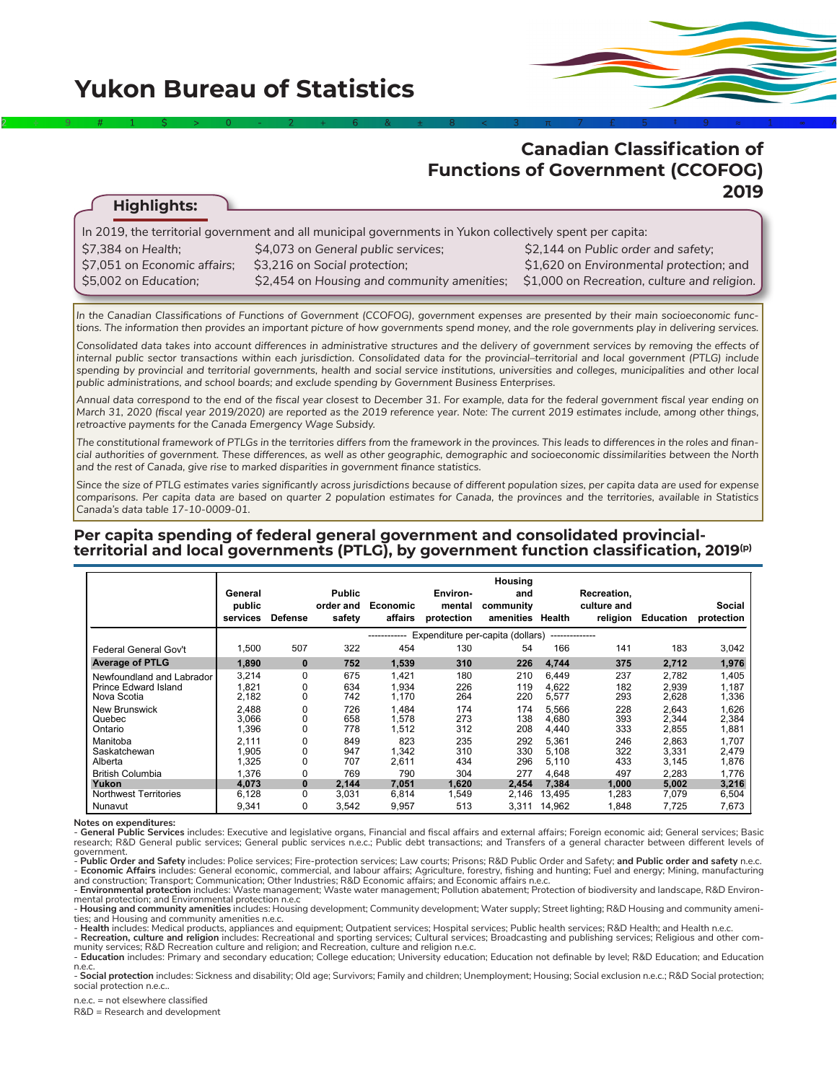**Highlights:**

# **Canadian Classification of Functions of Government (CCOFOG) 2019**

| In 2019, the territorial government and all municipal governments in Yukon collectively spent per capita: |                                             |                                              |  |  |  |  |  |  |  |
|-----------------------------------------------------------------------------------------------------------|---------------------------------------------|----------------------------------------------|--|--|--|--|--|--|--|
| \$7.384 on Health:                                                                                        | \$4,073 on General public services;         | \$2,144 on Public order and safety;          |  |  |  |  |  |  |  |
| \$7,051 on Economic affairs;                                                                              | \$3,216 on Social protection;               | \$1,620 on Environmental protection; and     |  |  |  |  |  |  |  |
| \$5,002 on Education;                                                                                     | \$2,454 on Housing and community amenities; | \$1,000 on Recreation, culture and religion. |  |  |  |  |  |  |  |
|                                                                                                           |                                             |                                              |  |  |  |  |  |  |  |

2÷9#1\$>0-2+6&±8<3π7£5‡9≈1∞^

*In the Canadian Classifications of Functions of Government (CCOFOG), government expenses are presented by their main socioeconomic functions. The information then provides an important picture of how governments spend money, and the role governments play in delivering services.* 

*Consolidated data takes into account differences in administrative structures and the delivery of government services by removing the effects of internal public sector transactions within each jurisdiction. Consolidated data for the provincial–territorial and local government (PTLG) include*  spending by provincial and territorial governments, health and social service institutions, universities and colleges, municipalities and other local *public administrations, and school boards; and exclude spending by Government Business Enterprises.*

*Annual data correspond to the end of the fiscal year closest to December 31. For example, data for the federal government fiscal year ending on March 31, 2020 (fiscal year 2019/2020) are reported as the 2019 reference year. Note: The current 2019 estimates include, among other things, retroactive payments for the Canada Emergency Wage Subsidy.*

*The constitutional framework of PTLGs in the territories differs from the framework in the provinces. This leads to differences in the roles and financial authorities of government. These differences, as well as other geographic, demographic and socioeconomic dissimilarities between the North and the rest of Canada, give rise to marked disparities in government finance statistics.*

*Since the size of PTLG estimates varies significantly across jurisdictions because of different population sizes, per capita data are used for expense comparisons. Per capita data are based on quarter 2 population estimates for Canada, the provinces and the territories, available in Statistics Canada's data table 17-10-0009-01.*

#### **Per capita spending of federal general government and consolidated provincialterritorial and local governments (PTLG), by government function classification, 2019(p)**

|                                                                  | General<br>public<br>services                                      | <b>Defense</b>     | <b>Public</b><br>order and<br>safety | Economic<br>affairs     | Environ-<br>mental<br>protection | Housing<br>and<br>community<br>amenities Health |                          | Recreation,<br>culture and<br>religion | <b>Education</b>        | Social<br>protection    |  |
|------------------------------------------------------------------|--------------------------------------------------------------------|--------------------|--------------------------------------|-------------------------|----------------------------------|-------------------------------------------------|--------------------------|----------------------------------------|-------------------------|-------------------------|--|
|                                                                  | Expenditure per-capita (dollars)<br>--------------<br>------------ |                    |                                      |                         |                                  |                                                 |                          |                                        |                         |                         |  |
| Federal General Gov't                                            | 1,500                                                              | 507                | 322                                  | 454                     | 130                              | 54                                              | 166                      | 141                                    | 183                     | 3,042                   |  |
| <b>Average of PTLG</b>                                           | 1,890                                                              | $\bf{0}$           | 752                                  | 1,539                   | 310                              | 226                                             | 4,744                    | 375                                    | 2,712                   | 1,976                   |  |
| Newfoundland and Labrador<br>Prince Edward Island<br>Nova Scotia | 3,214<br>1,821<br>2,182                                            | 0<br>0<br>0        | 675<br>634<br>742                    | 1,421<br>1,934<br>1,170 | 180<br>226<br>264                | 210<br>119<br>220                               | 6.449<br>4,622<br>5,577  | 237<br>182<br>293                      | 2,782<br>2,939<br>2,628 | 1,405<br>1,187<br>1,336 |  |
| New Brunswick<br>Quebec<br>Ontario                               | 2.488<br>3,066<br>1,396                                            | 0<br>0<br>$\Omega$ | 726<br>658<br>778                    | 1.484<br>1.578<br>1,512 | 174<br>273<br>312                | 174<br>138<br>208                               | 5,566<br>4.680<br>4,440  | 228<br>393<br>333                      | 2.643<br>2.344<br>2,855 | 1,626<br>2,384<br>1,881 |  |
| Manitoba<br>Saskatchewan<br>Alberta                              | 2,111<br>1,905<br>1,325                                            | 0<br>0<br>0        | 849<br>947<br>707                    | 823<br>1,342<br>2,611   | 235<br>310<br>434                | 292<br>330<br>296                               | 5,361<br>5,108<br>5,110  | 246<br>322<br>433                      | 2,863<br>3,331<br>3,145 | 1,707<br>2,479<br>1,876 |  |
| <b>British Columbia</b><br>Yukon<br><b>Northwest Territories</b> | 1,376<br>4,073<br>6,128                                            | 0<br>0<br>0        | 769<br>2,144<br>3,031                | 790<br>7,051<br>6,814   | 304<br>1,620<br>1,549            | 277<br>2.454<br>2,146                           | 4,648<br>7,384<br>13,495 | 497<br>1,000<br>1,283                  | 2,283<br>5,002<br>7,079 | 1,776<br>3,216<br>6,504 |  |
| Nunavut                                                          | 9,341                                                              | 0                  | 3.542                                | 9,957                   | 513                              | 3.311                                           | 14.962                   | 1.848                                  | 7.725                   | 7,673                   |  |

**Notes on expenditures:**

- **General Public Services** includes: Executive and legislative organs, Financial and fiscal affairs and external affairs; Foreign economic aid; General services; Basic<br>research; R&D General public services; General public

government.<br>- **Public Order and Safety** includes: Police services; Fire-protection services; Law courts; Prisons; R&D Public Order and Safety; **and Public order and safety** n.e.c. - Economic Affairs includes: General economic, commercial, and labour affairs; Agriculture, forestry, fishing and hunting; Fuel and energy; Mining, manufacturing and construction; Transport; Communication; Other Industries; R&D Economic affairs; and Economic affairs n.e.c.

- **Environmental protection** includes: Waste management; Waste water management; Pollution abatement; Protection of biodiversity and landscape, R&D Environ-<br>mental protection; and Environmental protection n.e.c

Housing and community amenities includes: Housing development; Community development; Water supply; Street lighting; R&D Housing and community amenities<br>- Housing and community amenities includes: Housing development; Comm

- Recreation, culture and religion includes: Recreational and sporting services; Cultural services; Broadcasting and publishing services; Religious and other com-

munity services; R&D Recreation culture and religion; and Recreation, culture and religion n.e.c.<br>- Education includes: Primary and secondary education; College education; University education; Education not definable by l

- **Social protection** includes: Sickness and disability; Old age; Survivors; Family and children; Unemployment; Housing; Social exclusion n.e.c.; R&D Social protection; social protection n.e.c.

n.e.c. = not elsewhere classified

R&D = Research and development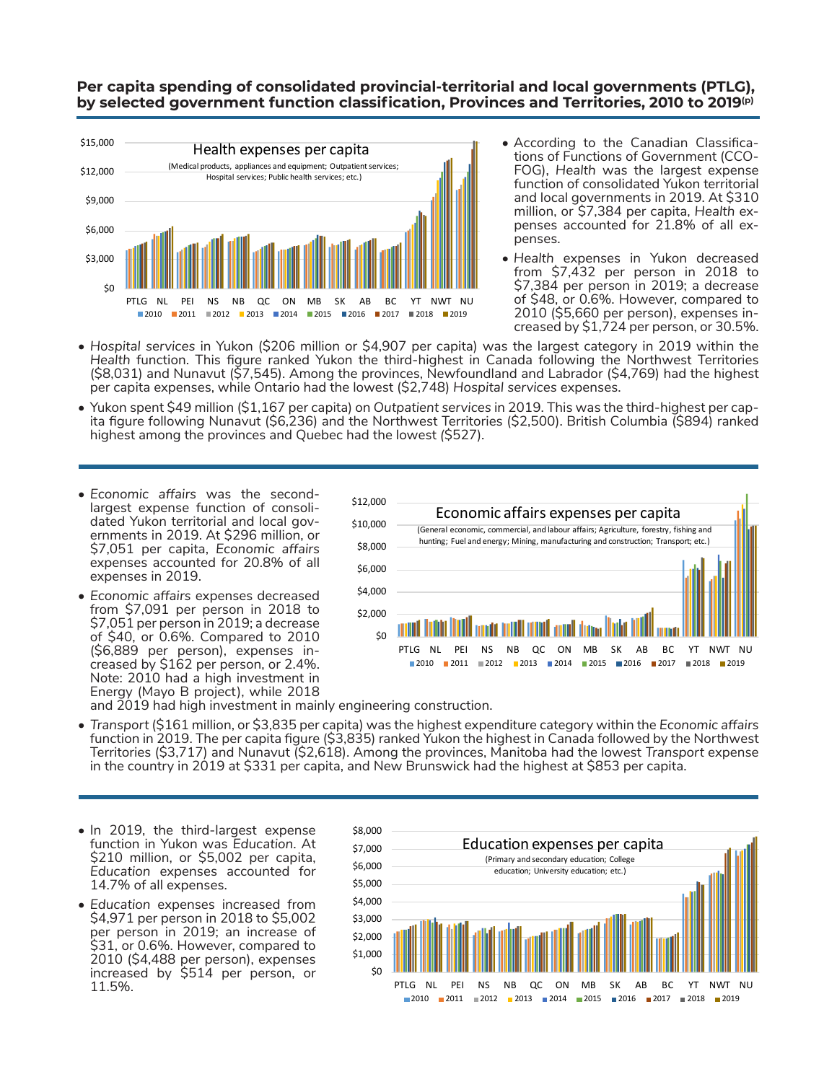## **Per capita spending of consolidated provincial-territorial and local governments (PTLG), by selected government function classification, Provinces and Territories, 2010 to 2019(p)**



- According to the Canadian Classifications of Functions of Government (CCO-FOG), *Health* was the largest expense function of consolidated Yukon territorial and local governments in 2019. At \$310 million, or \$7,384 per capita, *Health* expenses accounted for 21.8% of all expenses.
- *• Health* expenses in Yukon decreased from \$7,432 per person in 2018 to \$7,384 per person in 2019; a decrease of \$48, or 0.6%. However, compared to 2010 (\$5,660 per person), expenses increased by \$1,724 per person, or 30.5%.
- *• Hospital services* in Yukon (\$206 million or \$4,907 per capita) was the largest category in 2019 within the *Health* function. This figure ranked Yukon the third-highest in Canada following the Northwest Territories (\$8,031) and Nunavut (\$7,545). Among the provinces, Newfoundland and Labrador (\$4,769) had the highest per capita expenses, while Ontario had the lowest (\$2,748) *Hospital services* expenses.
- Yukon spent \$49 million (\$1,167 per capita) on *Outpatient services* in 2019. This was the third-highest per capita figure following Nunavut (\$6,236) and the Northwest Territories (\$2,500). British Columbia (\$894) ranked highest among the provinces and Quebec had the lowest *(*\$527).
- *• Economic affairs* was the secondlargest expense function of consolidated Yukon territorial and local governments in 2019. At \$296 million, or \$7,051 per capita, *Economic affairs* expenses accounted for 20.8% of all expenses in 2019.
- *• Economic affairs* expenses decreased from \$7,091 per person in 2018 to \$7,051 per person in 2019; a decrease of \$40, or 0.6%. Compared to 2010 (\$6,889 per person), expenses increased by \$162 per person, or 2.4%. Note: 2010 had a high investment in Energy (Mayo B project), while 2018



and 2019 had high investment in mainly engineering construction.

- *• Transport* (\$161 million, or \$3,835 per capita) was the highest expenditure category within the *Economic affairs* function in 2019. The per capita figure (\$3,835) ranked Yukon the highest in Canada followed by the Northwest Territories (\$3,717) and Nunavut (\$2,618). Among the provinces, Manitoba had the lowest *Transport* expense in the country in 2019 at \$331 per capita, and New Brunswick had the highest at \$853 per capita.
- In 2019, the third-largest expense function in Yukon was *Education*. At \$210 million, or \$5,002 per capita, *Education* expenses accounted for 14.7% of all expenses.
- *• Education* expenses increased from \$4,971 per person in 2018 to \$5,002 per person in 2019; an increase of \$31, or 0.6%. However, compared to 2010 (\$4,488 per person), expenses increased by \$514 per person, or 11.5%.

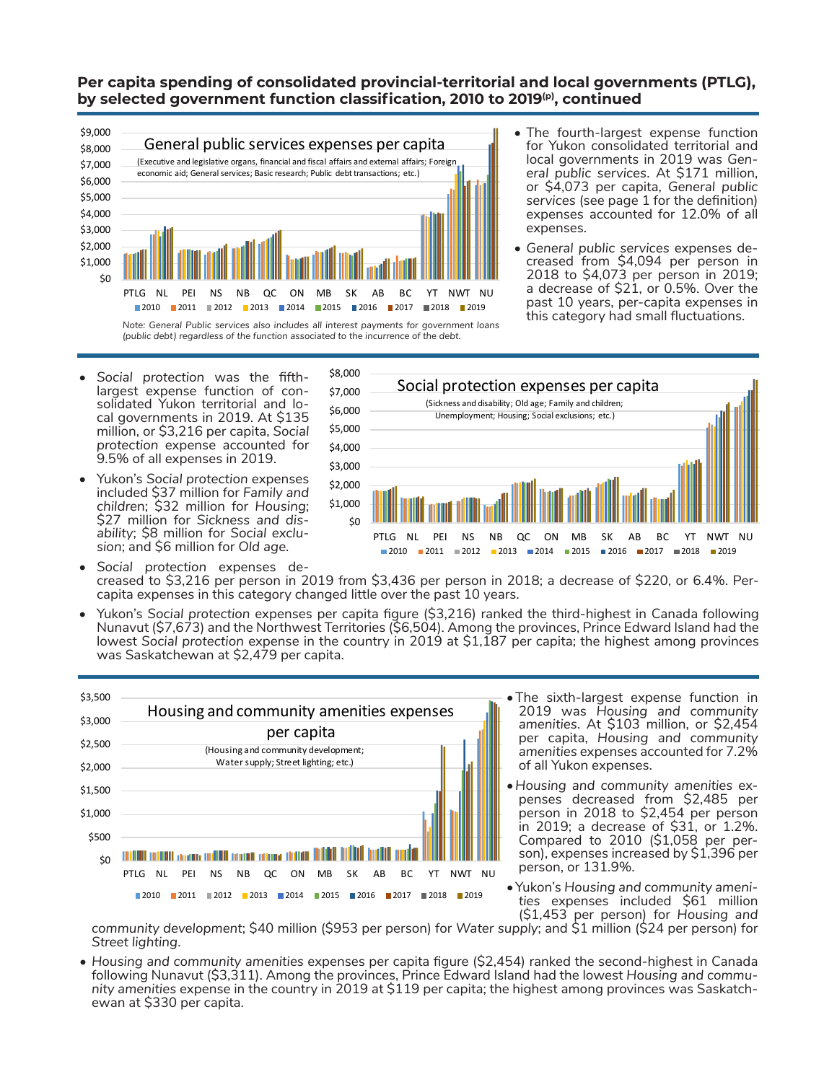## **Per capita spending of consolidated provincial-territorial and local governments (PTLG), by selected government function classification, 2010 to 2019(p), continued**



\$9,000

- The fourth-largest expense function for Yukon consolidated territorial and local governments in 2019 was *General public services*. At \$171 million, or \$4,073 per capita, *General public services* (see page 1 for the definition) expenses accounted for 12.0% of all expenses.
- *• General public services* expenses decreased from \$4,094 per person in 2018 to \$4,073 per person in 2019; a decrease of \$21, or 0.5%. Over the past 10 years, per-capita expenses in

- *• Social protection* was the fifthlargest expense function of consolidated Yukon territorial and local governments in 2019. At \$135 million, or \$3,216 per capita, *Social protection* expense accounted for 9.5% of all expenses in 2019.
- Yukon's *Social protection* expenses included \$37 million for *Family and childre*n; \$32 million for *Housing*; \$27 million for *Sickness and disability*; \$8 million for *Social exclusion*; and \$6 million for *Old age*.



- *• Social protection* expenses decreased to \$3,216 per person in 2019 from \$3,436 per person in 2018; a decrease of \$220, or 6.4%. Percapita expenses in this category changed little over the past 10 years.
- Yukon's *Social protection* expenses per capita figure (\$3,216) ranked the third-highest in Canada following Nunavut (\$7,673) and the Northwest Territories (\$6,504). Among the provinces, Prince Edward Island had the lowest *Social protection* expense in the country in 2019 at \$1,187 per capita; the highest among provinces was Saskatchewan at \$2,479 per capita.



- •The sixth-largest expense function in 2019 was *Housing and community amenities*. At \$103 million, or \$2,454 per capita, *Housing and community amenities* expenses accounted for 7.2% of all Yukon expenses.
- *•Housing and community amenities* ex- penses decreased from \$2,485 per person in 2018 to \$2,454 per person in 2019; a decrease of \$31, or 1.2%. son), expenses increased by  $$1,396$  perperson, or 131.9%.
- •Yukon's *Housing and community ameni- ties* expenses included \$61 million (\$1,453 per person) for *Housing and*

*community development*; \$40 million (\$953 per person) for *Water supply*; and \$1 million (\$24 per person) for *Street lighting*.

• Housing and community amenities expenses per capita figure (\$2,454) ranked the second-highest in Canada<br>- following Nunavut (\$3,311). Among the provinces, Prince Edward Island had the lowest Housing and commu*nity amenities* expense in the country in 2019 at \$119 per capita; the highest among provinces was Saskatch- ewan at \$330 per capita.